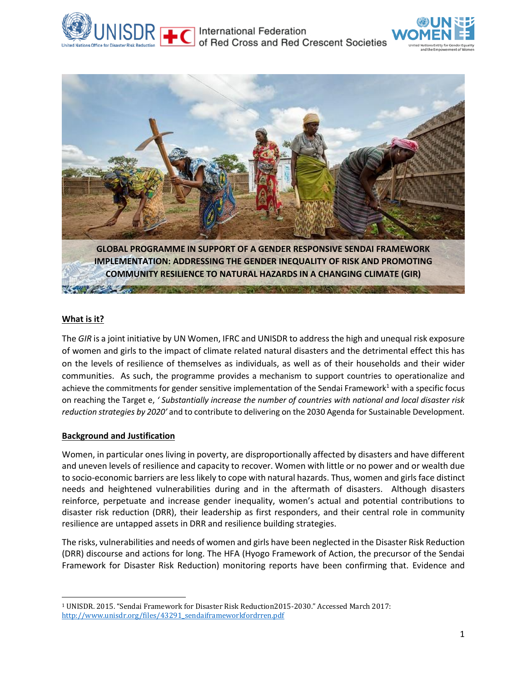





**IMPLEMENTATION: ADDRESSING THE GENDER INEQUALITY OF RISK AND PROMOTING COMMUNITY RESILIENCE TO NATURAL HAZARDS IN A CHANGING CLIMATE (GIR)**

The communication of the communication of the communication of the communication of the communication of the communication of the communication of the communication of the communication of the communication of the communic

# **What is it?**

The *GIR* is a joint initiative by UN Women, IFRC and UNISDR to address the high and unequal risk exposure of women and girls to the impact of climate related natural disasters and the detrimental effect this has on the levels of resilience of themselves as individuals, as well as of their households and their wider communities. As such, the programme provides a mechanism to support countries to operationalize and achieve the commitments for gender sensitive implementation of the Sendai Framework<sup>1</sup> with a specific focus on reaching the Target e, *' Substantially increase the number of countries with national and local disaster risk reduction strategies by 2020'* and to contribute to delivering on the 2030 Agenda for Sustainable Development.

## **Background and Justification**

Women, in particular ones living in poverty, are disproportionally affected by disasters and have different and uneven levels of resilience and capacity to recover. Women with little or no power and or wealth due to socio-economic barriers are less likely to cope with natural hazards. Thus, women and girls face distinct needs and heightened vulnerabilities during and in the aftermath of disasters. Although disasters reinforce, perpetuate and increase gender inequality, women's actual and potential contributions to disaster risk reduction (DRR), their leadership as first responders, and their central role in community resilience are untapped assets in DRR and resilience building strategies.

The risks, vulnerabilities and needs of women and girls have been neglected in the Disaster Risk Reduction (DRR) discourse and actions for long. The HFA (Hyogo Framework of Action, the precursor of the Sendai Framework for Disaster Risk Reduction) monitoring reports have been confirming that. Evidence and

 $\overline{\phantom{a}}$ <sup>1</sup> UNISDR. 2015. "Sendai Framework for Disaster Risk Reduction2015-2030." Accessed March 2017: [http://www.unisdr.org/files/43291\\_sendaiframeworkfordrren.pdf](http://www.unisdr.org/files/43291_sendaiframeworkfordrren.pdf)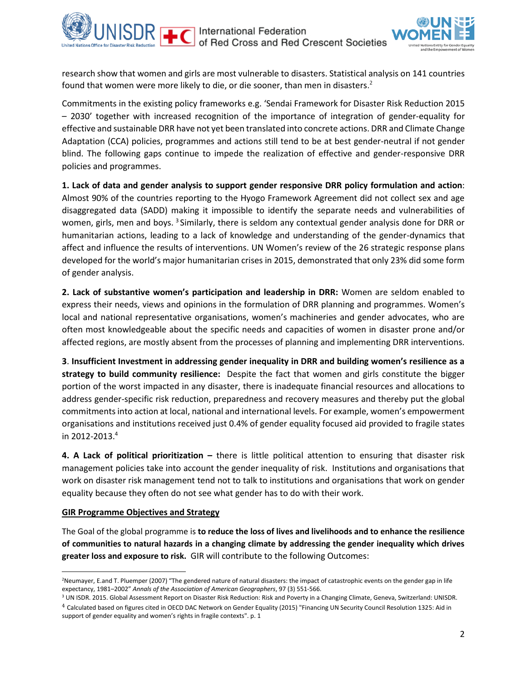

research show that women and girls are most vulnerable to disasters. Statistical analysis on 141 countries found that women were more likely to die, or die sooner, than men in disasters.<sup>2</sup>

Commitments in the existing policy frameworks e.g. 'Sendai Framework for Disaster Risk Reduction 2015 – 2030' together with increased recognition of the importance of integration of gender-equality for effective and sustainable DRR have not yet been translated into concrete actions. DRR and Climate Change Adaptation (CCA) policies, programmes and actions still tend to be at best gender-neutral if not gender blind. The following gaps continue to impede the realization of effective and gender-responsive DRR policies and programmes.

**1. Lack of data and gender analysis to support gender responsive DRR policy formulation and action**: Almost 90% of the countries reporting to the Hyogo Framework Agreement did not collect sex and age disaggregated data (SADD) making it impossible to identify the separate needs and vulnerabilities of women, girls, men and boys. <sup>3</sup> Similarly, there is seldom any contextual gender analysis done for DRR or humanitarian actions, leading to a lack of knowledge and understanding of the gender-dynamics that affect and influence the results of interventions. UN Women's review of the 26 strategic response plans developed for the world's major humanitarian crises in 2015, demonstrated that only 23% did some form of gender analysis.

**2. Lack of substantive women's participation and leadership in DRR:** Women are seldom enabled to express their needs, views and opinions in the formulation of DRR planning and programmes. Women's local and national representative organisations, women's machineries and gender advocates, who are often most knowledgeable about the specific needs and capacities of women in disaster prone and/or affected regions, are mostly absent from the processes of planning and implementing DRR interventions.

**3**. **Insufficient Investment in addressing gender inequality in DRR and building women's resilience as a strategy to build community resilience:** Despite the fact that women and girls constitute the bigger portion of the worst impacted in any disaster, there is inadequate financial resources and allocations to address gender-specific risk reduction, preparedness and recovery measures and thereby put the global commitments into action at local, national and international levels. For example, women's empowerment organisations and institutions received just 0.4% of gender equality focused aid provided to fragile states in 2012-2013.<sup>4</sup>

**4. A Lack of political prioritization –** there is little political attention to ensuring that disaster risk management policies take into account the gender inequality of risk. Institutions and organisations that work on disaster risk management tend not to talk to institutions and organisations that work on gender equality because they often do not see what gender has to do with their work.

#### **GIR Programme Objectives and Strategy**

 $\overline{\phantom{a}}$ 

The Goal of the global programme is **to reduce the loss of lives and livelihoods and to enhance the resilience of communities to natural hazards in a changing climate by addressing the gender inequality which drives greater loss and exposure to risk.** GIR will contribute to the following Outcomes:

<sup>&</sup>lt;sup>2</sup>Neumayer, E.and T. Pluemper (2007) "The gendered nature of natural disasters: the impact of catastrophic events on the gender gap in life expectancy, 1981–2002" *Annals of the Association of American Geographers*, 97 (3) 551-566.

<sup>&</sup>lt;sup>3</sup> UN ISDR. 2015. Global Assessment Report on Disaster Risk Reduction: Risk and Poverty in a Changing Climate, Geneva, Switzerland: UNISDR.

<sup>4</sup> Calculated based on figures cited in OECD DAC Network on Gender Equality (2015) "Financing UN Security Council Resolution 1325: Aid in support of gender equality and women's rights in fragile contexts". p. 1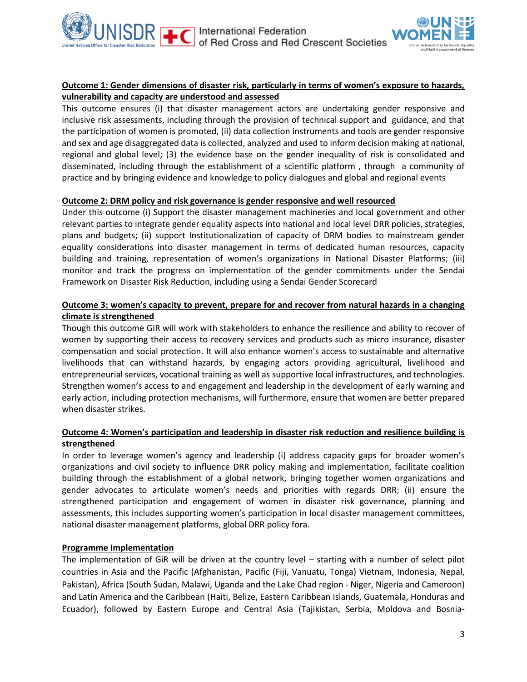



## **Outcome 1: Gender dimensions of disaster risk, particularly in terms of women's exposure to hazards, vulnerability and capacity are understood and assessed**

This outcome ensures (i) that disaster management actors are undertaking gender responsive and inclusive risk assessments, including through the provision of technical support and guidance, and that the participation of women is promoted, (ii) data collection instruments and tools are gender responsive and sex and age disaggregated data is collected, analyzed and used to inform decision making at national, regional and global level; (3) the evidence base on the gender inequality of risk is consolidated and disseminated, including through the establishment of a scientific platform , through a community of practice and by bringing evidence and knowledge to policy dialogues and global and regional events

### **Outcome 2: DRM policy and risk governance is gender responsive and well resourced**

Under this outcome (i) Support the disaster management machineries and local government and other relevant parties to integrate gender equality aspects into national and local level DRR policies, strategies, plans and budgets; (ii) support Institutionalization of capacity of DRM bodies to mainstream gender equality considerations into disaster management in terms of dedicated human resources, capacity building and training, representation of women's organizations in National Disaster Platforms; (iii) monitor and track the progress on implementation of the gender commitments under the Sendai Framework on Disaster Risk Reduction, including using a Sendai Gender Scorecard

## **Outcome 3: women's capacity to prevent, prepare for and recover from natural hazards in a changing climate is strengthened**

Though this outcome GIR will work with stakeholders to enhance the resilience and ability to recover of women by supporting their access to recovery services and products such as micro insurance, disaster compensation and social protection. It will also enhance women's access to sustainable and alternative livelihoods that can withstand hazards, by engaging actors providing agricultural, livelihood and entrepreneurial services, vocational training as well as supportive local infrastructures, and technologies. Strengthen women's access to and engagement and leadership in the development of early warning and early action, including protection mechanisms, will furthermore, ensure that women are better prepared when disaster strikes.

### **Outcome 4: Women's participation and leadership in disaster risk reduction and resilience building is strengthened**

In order to leverage women's agency and leadership (i) address capacity gaps for broader women's organizations and civil society to influence DRR policy making and implementation, facilitate coalition building through the establishment of a global network, bringing together women organizations and gender advocates to articulate women's needs and priorities with regards DRR; (ii) ensure the strengthened participation and engagement of women in disaster risk governance, planning and assessments, this includes supporting women's participation in local disaster management committees, national disaster management platforms, global DRR policy fora.

#### **Programme Implementation**

The implementation of GiR will be driven at the country level – starting with a number of select pilot countries in Asia and the Pacific (Afghanistan, Pacific (Fiji, Vanuatu, Tonga) Vietnam, Indonesia, Nepal, Pakistan), Africa (South Sudan, Malawi, Uganda and the Lake Chad region - Niger, Nigeria and Cameroon) and Latin America and the Caribbean (Haiti, Belize, Eastern Caribbean Islands, Guatemala, Honduras and Ecuador), followed by Eastern Europe and Central Asia (Tajikistan, Serbia, Moldova and Bosnia-